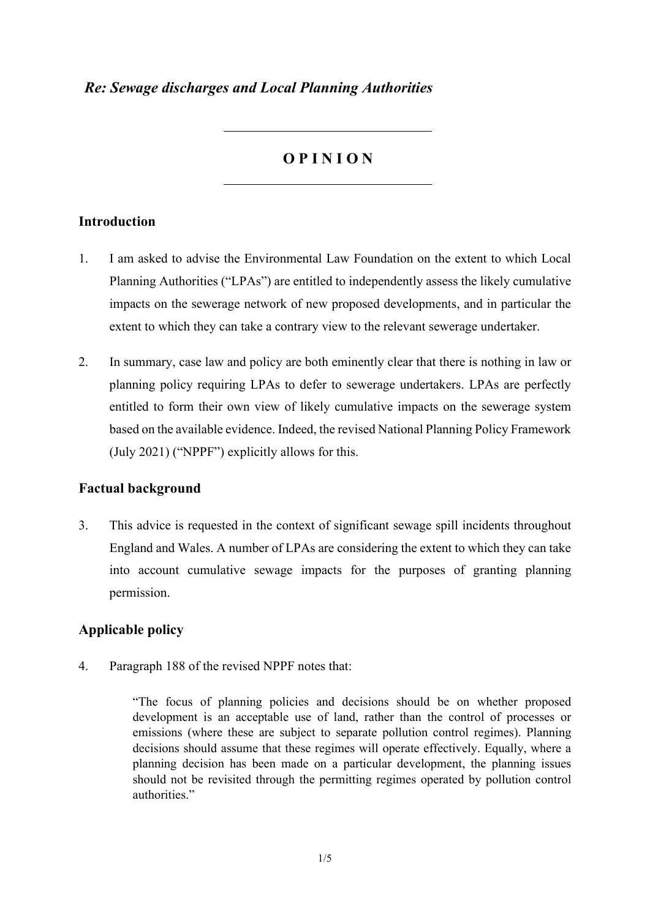## *Re: Sewage discharges and Local Planning Authorities*

# **O P I N I O N**

### **Introduction**

- 1. I am asked to advise the Environmental Law Foundation on the extent to which Local Planning Authorities ("LPAs") are entitled to independently assess the likely cumulative impacts on the sewerage network of new proposed developments, and in particular the extent to which they can take a contrary view to the relevant sewerage undertaker.
- 2. In summary, case law and policy are both eminently clear that there is nothing in law or planning policy requiring LPAs to defer to sewerage undertakers. LPAs are perfectly entitled to form their own view of likely cumulative impacts on the sewerage system based on the available evidence. Indeed, the revised National Planning Policy Framework (July 2021) ("NPPF") explicitly allows for this.

#### **Factual background**

3. This advice is requested in the context of significant sewage spill incidents throughout England and Wales. A number of LPAs are considering the extent to which they can take into account cumulative sewage impacts for the purposes of granting planning permission.

## **Applicable policy**

4. Paragraph 188 of the revised NPPF notes that:

"The focus of planning policies and decisions should be on whether proposed development is an acceptable use of land, rather than the control of processes or emissions (where these are subject to separate pollution control regimes). Planning decisions should assume that these regimes will operate effectively. Equally, where a planning decision has been made on a particular development, the planning issues should not be revisited through the permitting regimes operated by pollution control authorities."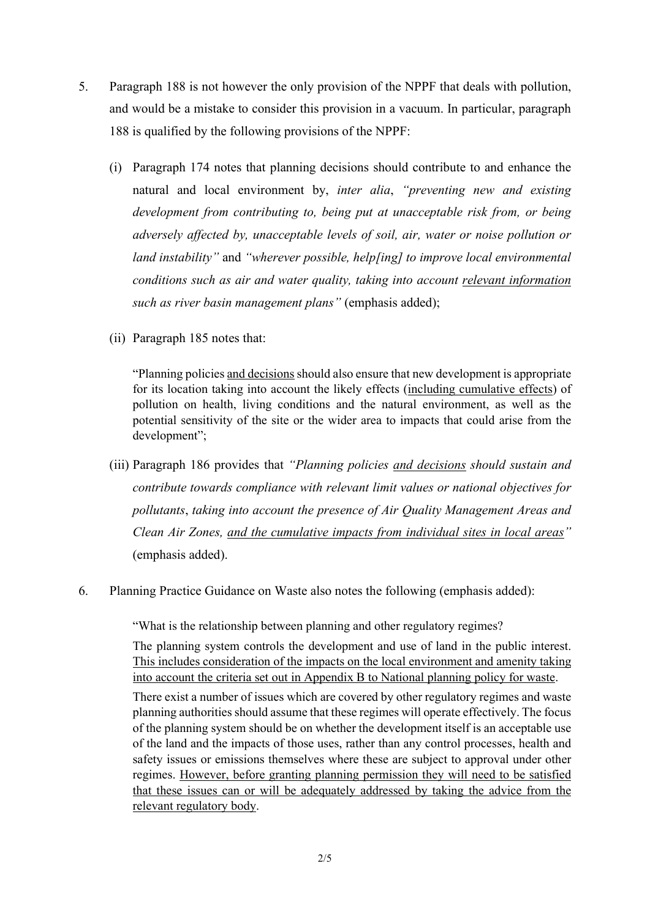- 5. Paragraph 188 is not however the only provision of the NPPF that deals with pollution, and would be a mistake to consider this provision in a vacuum. In particular, paragraph 188 is qualified by the following provisions of the NPPF:
	- (i) Paragraph 174 notes that planning decisions should contribute to and enhance the natural and local environment by, *inter alia*, *"preventing new and existing development from contributing to, being put at unacceptable risk from, or being adversely affected by, unacceptable levels of soil, air, water or noise pollution or land instability"* and *"wherever possible, help[ing] to improve local environmental conditions such as air and water quality, taking into account relevant information such as river basin management plans"* (emphasis added);
	- (ii) Paragraph 185 notes that:

"Planning policies and decisions should also ensure that new development is appropriate for its location taking into account the likely effects (including cumulative effects) of pollution on health, living conditions and the natural environment, as well as the potential sensitivity of the site or the wider area to impacts that could arise from the development";

- (iii) Paragraph 186 provides that *"Planning policies and decisions should sustain and contribute towards compliance with relevant limit values or national objectives for pollutants*, *taking into account the presence of Air Quality Management Areas and Clean Air Zones, and the cumulative impacts from individual sites in local areas"* (emphasis added).
- 6. Planning Practice Guidance on Waste also notes the following (emphasis added):

"What is the relationship between planning and other regulatory regimes?

The planning system controls the development and use of land in the public interest. This includes consideration of the impacts on the local environment and amenity taking into account the criteria set out in Appendix B to National planning policy for waste.

There exist a number of issues which are covered by other regulatory regimes and waste planning authorities should assume that these regimes will operate effectively. The focus of the planning system should be on whether the development itself is an acceptable use of the land and the impacts of those uses, rather than any control processes, health and safety issues or emissions themselves where these are subject to approval under other regimes. However, before granting planning permission they will need to be satisfied that these issues can or will be adequately addressed by taking the advice from the relevant regulatory body.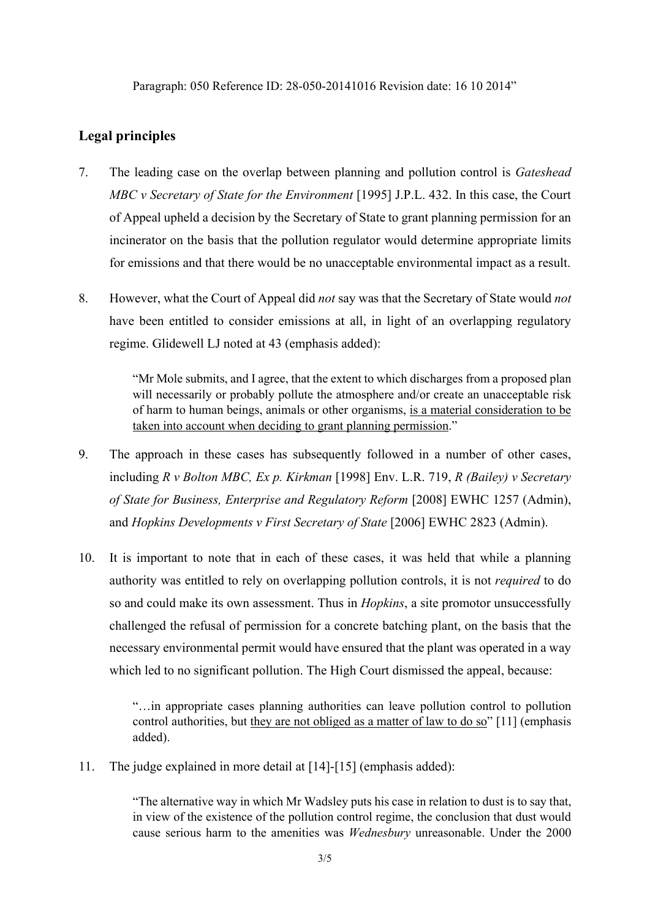## **Legal principles**

- 7. The leading case on the overlap between planning and pollution control is *Gateshead MBC v Secretary of State for the Environment* [1995] J.P.L. 432. In this case, the Court of Appeal upheld a decision by the Secretary of State to grant planning permission for an incinerator on the basis that the pollution regulator would determine appropriate limits for emissions and that there would be no unacceptable environmental impact as a result.
- 8. However, what the Court of Appeal did *not* say was that the Secretary of State would *not*  have been entitled to consider emissions at all, in light of an overlapping regulatory regime. Glidewell LJ noted at 43 (emphasis added):

"Mr Mole submits, and I agree, that the extent to which discharges from a proposed plan will necessarily or probably pollute the atmosphere and/or create an unacceptable risk of harm to human beings, animals or other organisms, is a material consideration to be taken into account when deciding to grant planning permission."

- 9. The approach in these cases has subsequently followed in a number of other cases, including *R v Bolton MBC, Ex p. Kirkman* [1998] Env. L.R. 719, *R (Bailey) v Secretary of State for Business, Enterprise and Regulatory Reform* [2008] EWHC 1257 (Admin), and *Hopkins Developments v First Secretary of State* [2006] EWHC 2823 (Admin).
- 10. It is important to note that in each of these cases, it was held that while a planning authority was entitled to rely on overlapping pollution controls, it is not *required* to do so and could make its own assessment. Thus in *Hopkins*, a site promotor unsuccessfully challenged the refusal of permission for a concrete batching plant, on the basis that the necessary environmental permit would have ensured that the plant was operated in a way which led to no significant pollution. The High Court dismissed the appeal, because:

"…in appropriate cases planning authorities can leave pollution control to pollution control authorities, but they are not obliged as a matter of law to do so" [11] (emphasis added).

11. The judge explained in more detail at [14]-[15] (emphasis added):

"The alternative way in which Mr Wadsley puts his case in relation to dust is to say that, in view of the existence of the pollution control regime, the conclusion that dust would cause serious harm to the amenities was *Wednesbury* unreasonable. Under the 2000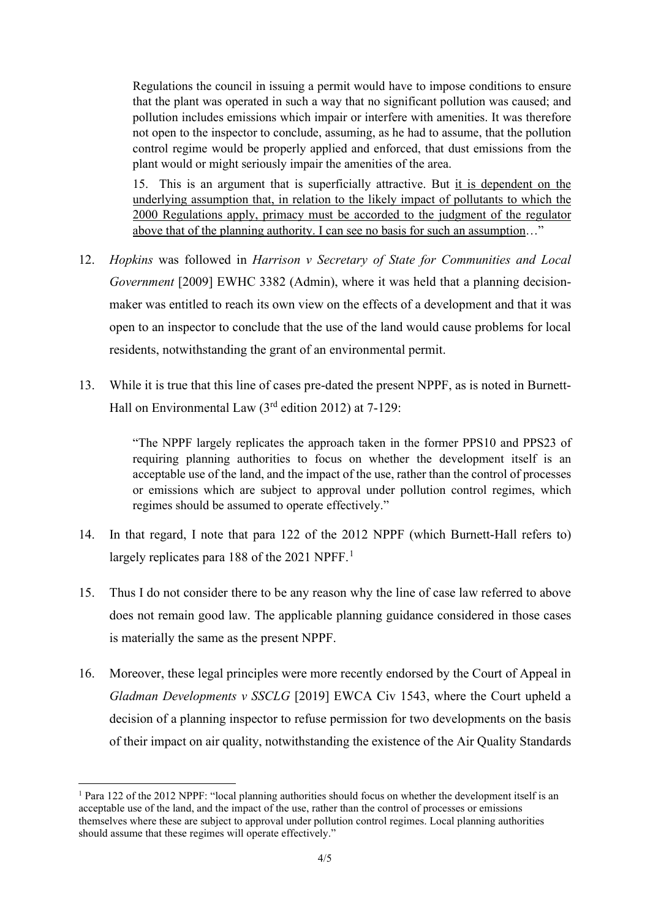Regulations the council in issuing a permit would have to impose conditions to ensure that the plant was operated in such a way that no significant pollution was caused; and pollution includes emissions which impair or interfere with amenities. It was therefore not open to the inspector to conclude, assuming, as he had to assume, that the pollution control regime would be properly applied and enforced, that dust emissions from the plant would or might seriously impair the amenities of the area.

15. This is an argument that is superficially attractive. But it is dependent on the underlying assumption that, in relation to the likely impact of pollutants to which the 2000 Regulations apply, primacy must be accorded to the judgment of the regulator above that of the planning authority. I can see no basis for such an assumption…"

- 12. *Hopkins* was followed in *Harrison v Secretary of State for Communities and Local Government* [2009] EWHC 3382 (Admin), where it was held that a planning decisionmaker was entitled to reach its own view on the effects of a development and that it was open to an inspector to conclude that the use of the land would cause problems for local residents, notwithstanding the grant of an environmental permit.
- 13. While it is true that this line of cases pre-dated the present NPPF, as is noted in Burnett-Hall on Environmental Law (3rd edition 2012) at 7-129:

"The NPPF largely replicates the approach taken in the former PPS10 and PPS23 of requiring planning authorities to focus on whether the development itself is an acceptable use of the land, and the impact of the use, rather than the control of processes or emissions which are subject to approval under pollution control regimes, which regimes should be assumed to operate effectively."

- 14. In that regard, I note that para 122 of the 2012 NPPF (which Burnett-Hall refers to) largely replicates para [1](#page-3-0)88 of the 2021 NPFF.<sup>1</sup>
- 15. Thus I do not consider there to be any reason why the line of case law referred to above does not remain good law. The applicable planning guidance considered in those cases is materially the same as the present NPPF.
- 16. Moreover, these legal principles were more recently endorsed by the Court of Appeal in *Gladman Developments v SSCLG* [2019] EWCA Civ 1543, where the Court upheld a decision of a planning inspector to refuse permission for two developments on the basis of their impact on air quality, notwithstanding the existence of the Air Quality Standards

<span id="page-3-0"></span><sup>1</sup> Para 122 of the 2012 NPPF: "local planning authorities should focus on whether the development itself is an acceptable use of the land, and the impact of the use, rather than the control of processes or emissions themselves where these are subject to approval under pollution control regimes. Local planning authorities should assume that these regimes will operate effectively."